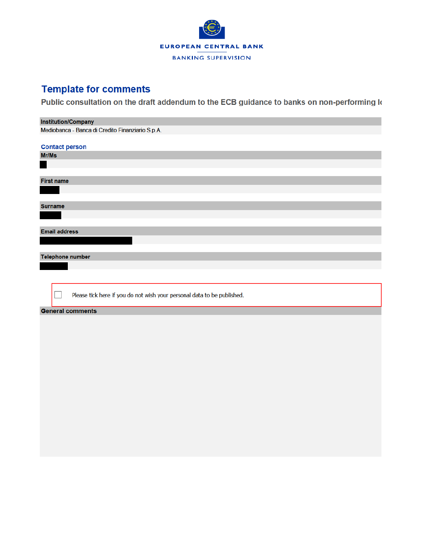

## **Template for comments**

Public consultation on the draft addendum to the ECB guidance to banks on non-performing k

| <b>Institution/Company</b>                                              |
|-------------------------------------------------------------------------|
| Mediobanca - Banca di Credito Finanziario S.p.A.                        |
|                                                                         |
| <b>Contact person</b>                                                   |
| Mr/Ms                                                                   |
|                                                                         |
|                                                                         |
| <b>First name</b>                                                       |
|                                                                         |
|                                                                         |
| <b>Surname</b>                                                          |
|                                                                         |
|                                                                         |
| <b>Email address</b>                                                    |
|                                                                         |
|                                                                         |
| <b>Telephone number</b>                                                 |
|                                                                         |
|                                                                         |
|                                                                         |
|                                                                         |
| Please tick here if you do not wish your personal data to be published. |
| <b>General comments</b>                                                 |
|                                                                         |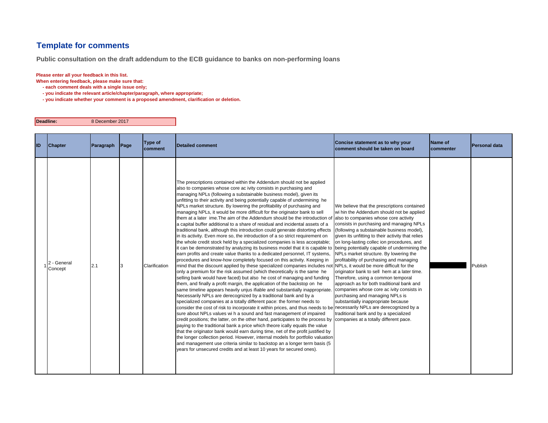## **Template for comments**

**Public consultation on the draft addendum to the ECB guidance to banks on non-performing loans**

## **Please enter all your feedback in this list.**

**When entering feedback, please make sure that:** 

- **each comment deals with a single issue only;**
- **you indicate the relevant article/chapter/paragraph, where appropriate;**
- **you indicate whether your comment is a proposed amendment, clarification or deletion.**

| Deadline: | 8 December 2017 |
|-----------|-----------------|
|-----------|-----------------|

| ID | <b>Chapter</b>         | Paragraph | Page | Type of<br>comment | <b>Detailed comment</b>                                                                                                                                                                                                                                                                                                                                                                                                                                                                                                                                                                                                                                                                                                                                                                                                                                                                                                                                                                                                                                                                                                                                                                                                                                                                                                                                                                                                                                                                                                                                                                                                                                                                                                                                                                                                                                                                                                                                                                                                                                                                                                                                                                                                                                                                                                                                                                                                                                                                                                          | Concise statement as to why your<br>comment should be taken on board                                                                                                                                                                                                                                                                                                                                                                                                                                                                                                                                                                                                       | Name of<br>commenter | Personal data |
|----|------------------------|-----------|------|--------------------|----------------------------------------------------------------------------------------------------------------------------------------------------------------------------------------------------------------------------------------------------------------------------------------------------------------------------------------------------------------------------------------------------------------------------------------------------------------------------------------------------------------------------------------------------------------------------------------------------------------------------------------------------------------------------------------------------------------------------------------------------------------------------------------------------------------------------------------------------------------------------------------------------------------------------------------------------------------------------------------------------------------------------------------------------------------------------------------------------------------------------------------------------------------------------------------------------------------------------------------------------------------------------------------------------------------------------------------------------------------------------------------------------------------------------------------------------------------------------------------------------------------------------------------------------------------------------------------------------------------------------------------------------------------------------------------------------------------------------------------------------------------------------------------------------------------------------------------------------------------------------------------------------------------------------------------------------------------------------------------------------------------------------------------------------------------------------------------------------------------------------------------------------------------------------------------------------------------------------------------------------------------------------------------------------------------------------------------------------------------------------------------------------------------------------------------------------------------------------------------------------------------------------------|----------------------------------------------------------------------------------------------------------------------------------------------------------------------------------------------------------------------------------------------------------------------------------------------------------------------------------------------------------------------------------------------------------------------------------------------------------------------------------------------------------------------------------------------------------------------------------------------------------------------------------------------------------------------------|----------------------|---------------|
|    | 2 - General<br>Concept | 2.1       |      | Clarification      | The prescriptions contained within the Addendum should not be applied<br>also to companies whose core ac ivity consists in purchasing and<br>managing NPLs (following a substainable business model), given its<br>unfitting to their activity and being potentially capable of undermining he<br>NPLs market structure. By lowering the profitability of purchasing and<br>managing NPLs, it would be more difficult for the originator bank to sell<br>them at a later ime. The aim of the Addendum should be the introduction of<br>a capital buffer additional to a share of residual and incidental assets of a<br>traditional bank, although this introduction could generate distorting effects<br>in its activity. Even more so, the introduction of a so strict requirement on<br>the whole credit stock held by a specialized companies is less acceptable;<br>it can be demonstrated by analyzing its business model that it is capable to being potentially capable of undermining the<br>earn profits and create value thanks to a dedicated personnel, IT systems,<br>procedures and know-how completely focused on this activity. Keeping in<br>mind that the discount applied by these specialized companies includes not NPLs, it would be more difficult for the<br>only a premium for the risk assumed (which theoretically is the same he<br>selling bank would have faced) but also he cost of managing and funding<br>them, and finally a profit margin, the application of the backstop on he<br>same timeline appears heavily unjus ifiable and substantially inappropriate. companies whose core ac ivity consists in<br>Necessarily NPLs are derecognized by a traditional bank and by a<br>specialized companies at a totally different pace: the former needs to<br>consider the cost of risk to incorporate it within prices, and thus needs to be necessarily NPLs are derecognized by a<br>sure about NPLs values wi h a sound and fast management of impaired<br>credit positions; the latter, on the other hand, participates to the process by companies at a totally different pace.<br>paying to the traditional bank a price which theore ically equals the value<br>that the originator bank would earn during time, net of the profit justified by<br>the longer collection period. However, internal models for portfolio valuation<br>and management use criteria similar to backstop an a longer term basis (5<br>years for unsecured credits and at least 10 years for secured ones). | We believe that the prescriptions contained<br>wi hin the Addendum should not be applied<br>also to companies whose core activity<br>consists in purchasing and managing NPLs<br>(following a substainable business model),<br>given its unfitting to their activity that relies<br>on long-lasting collec ion procedures, and<br>NPLs market structure. By lowering the<br>profitability of purchasing and managing<br>originator bank to sell hem at a later time.<br>Therefore, using a common temporal<br>approach as for both traditional bank and<br>purchasing and managing NPLs is<br>substantially inappropriate because<br>traditional bank and by a specialized |                      | Publish       |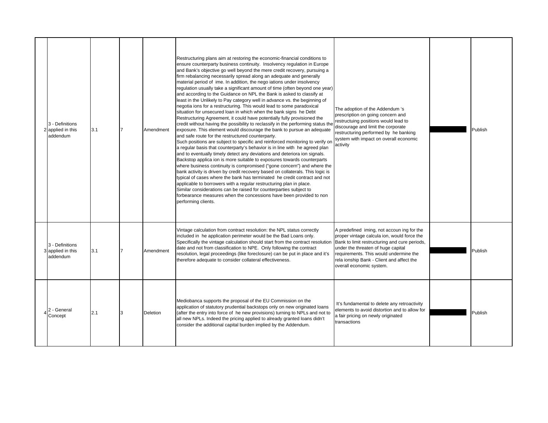| 3 - Definitions<br>2 applied in this<br>addendum | 3.1 | Amendment       | Restructuring plans aim at restoring the economic-financial conditions to<br>ensure counterparty business continuity. Insolvency regulation in Europe<br>and Bank's objective go well beyond the mere credit recovery, pursuing a<br>firm rebalancing necessarily spread along an adequate and generally<br>material period of ime. In addition, the nego iations under insolvency<br>regulation usually take a significant amount of time (often beyond one year)<br>and according to the Guidance on NPL the Bank is asked to classify at<br>least in the Unlikely to Pay category well in advance vs. the beginning of<br>negotia ions for a restructuring. This would lead to some paradoxical<br>situation for unsecured loan in which when the bank signs he Debt<br>Restructuring Agreement, it could have potentially fully provisioned the<br>credit without having the possibility to reclassify in the performing status the<br>exposure. This element would discourage the bank to pursue an adequate<br>and safe route for the restructured counterparty.<br>Such positions are subject to specific and reinforced monitoring to verify or<br>a regular basis that counterparty's behavior is in line with he agreed plan<br>and to eventually timely detect any deviations and deteriora ion signals.<br>Backstop applica ion is more suitable to exposures towards counterparts<br>where business continuity is compromised ("gone concern") and where the<br>bank activity is driven by credit recovery based on collaterals. This logic is<br>typical of cases where the bank has terminated he credit contract and not<br>applicable to borrowers with a regular restructuring plan in place.<br>Similar considerations can be raised for counterparties subject to<br>forbearance measures when the concessions have been provided to non<br>performing clients. | The adoption of the Addendum 's<br>prescription on going concern and<br>restructuing positions would lead to<br>discourage and limit the corporate<br>restructuring performed by he banking<br>system with impact on overall economic<br>activity                                                   | Publish |
|--------------------------------------------------|-----|-----------------|-------------------------------------------------------------------------------------------------------------------------------------------------------------------------------------------------------------------------------------------------------------------------------------------------------------------------------------------------------------------------------------------------------------------------------------------------------------------------------------------------------------------------------------------------------------------------------------------------------------------------------------------------------------------------------------------------------------------------------------------------------------------------------------------------------------------------------------------------------------------------------------------------------------------------------------------------------------------------------------------------------------------------------------------------------------------------------------------------------------------------------------------------------------------------------------------------------------------------------------------------------------------------------------------------------------------------------------------------------------------------------------------------------------------------------------------------------------------------------------------------------------------------------------------------------------------------------------------------------------------------------------------------------------------------------------------------------------------------------------------------------------------------------------------------------------------------------------------------------------------------------------|-----------------------------------------------------------------------------------------------------------------------------------------------------------------------------------------------------------------------------------------------------------------------------------------------------|---------|
| 3 - Definitions<br>3 applied in this<br>addendum | 3.1 | Amendment       | Vintage calculation from contract resolution: the NPL status correctly<br>included in he application perimeter would be the Bad Loans only.<br>Specifically the vintage calculation should start from the contract resolution<br>date and not from classification to NPE. Only following the contract<br>resolution, legal proceedings (like foreclosure) can be put in place and it's<br>therefore adequate to consider collateral effectiveness.                                                                                                                                                                                                                                                                                                                                                                                                                                                                                                                                                                                                                                                                                                                                                                                                                                                                                                                                                                                                                                                                                                                                                                                                                                                                                                                                                                                                                                  | A predefined iming, not accoun ing for the<br>proper vintage calcula ion, would force the<br>Bank to limit restructuring and cure periods,<br>under the threaten of huge capital<br>requirements. This would undermine the<br>rela ionship Bank - Client and affect the<br>overall economic system. | Publish |
| 2 - General<br>Concept                           | 2.1 | <b>Deletion</b> | Mediobanca supports the proposal of the EU Commission on the<br>application of statutory prudential backstops only on new originated loans<br>(after the entry into force of he new provisions) turning to NPLs and not to<br>all new NPLs. Indeed the pricing applied to already granted loans didn't<br>consider the additional capital burden implied by the Addendum.                                                                                                                                                                                                                                                                                                                                                                                                                                                                                                                                                                                                                                                                                                                                                                                                                                                                                                                                                                                                                                                                                                                                                                                                                                                                                                                                                                                                                                                                                                           | It's fundamental to delete any retroactivity<br>elements to avoid distortion and to allow for<br>a fair pricing on newly originated<br>transactions                                                                                                                                                 | Publish |